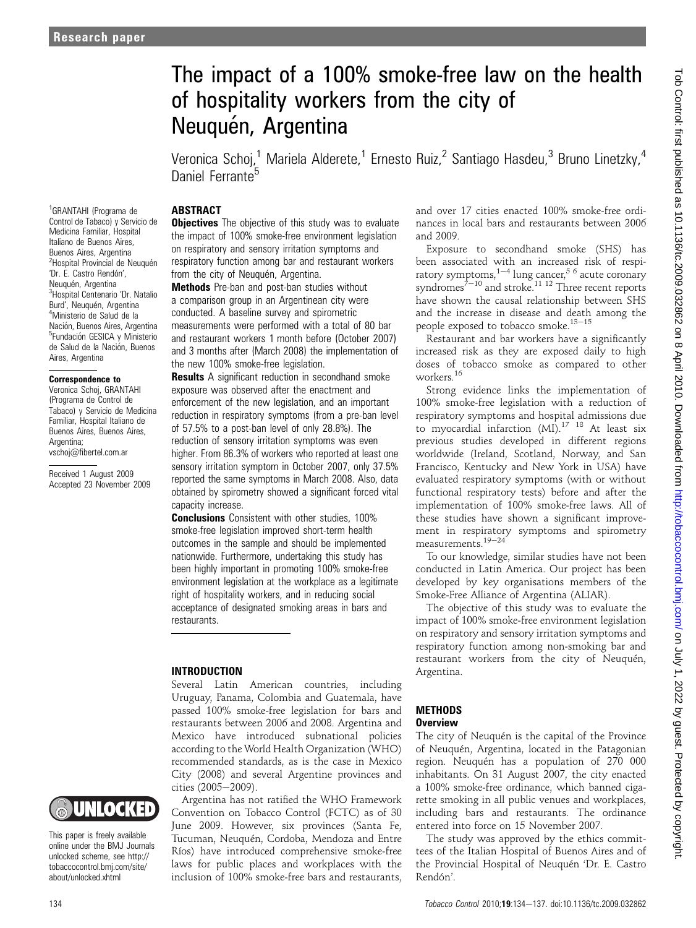# The impact of a 100% smoke-free law on the health of hospitality workers from the city of Neuquén, Argentina

Veronica Schoj,<sup>1</sup> Mariela Alderete,<sup>1</sup> Ernesto Ruiz,<sup>2</sup> Santiago Hasdeu,<sup>3</sup> Bruno Linetzky,<sup>4</sup> Daniel Ferrante<sup>5</sup>

# ABSTRACT

1 GRANTAHI (Programa de Control de Tabaco) y Servicio de Medicina Familiar, Hospital Italiano de Buenos Aires, Buenos Aires, Argentina <sup>2</sup>Hospital Provincial de Neuquén 'Dr. E. Castro Rendón', Neuquén, Argentina <sup>3</sup> Hospital Centenario 'Dr. Natalio Burd', Neuquén, Argentina Ministerio de Salud de la Nación, Buenos Aires, Argentina <sup>5</sup>Fundación GESICA y Ministerio de Salud de la Nación, Buenos Aires, Argentina

#### Correspondence to

Veronica Schoj, GRANTAHI (Programa de Control de Tabaco) y Servicio de Medicina Familiar, Hospital Italiano de Buenos Aires, Buenos Aires, Argentina: vschoj@fibertel.com.ar

Received 1 August 2009 Accepted 23 November 2009

# UNIOCKED

This paper is freely available online under the BMJ Journals unlocked scheme, see http:// tobaccocontrol.bmj.com/site/ about/unlocked.xhtml

**Objectives** The objective of this study was to evaluate the impact of 100% smoke-free environment legislation on respiratory and sensory irritation symptoms and respiratory function among bar and restaurant workers from the city of Neuquén, Argentina.

**Methods** Pre-ban and post-ban studies without a comparison group in an Argentinean city were conducted. A baseline survey and spirometric measurements were performed with a total of 80 bar and restaurant workers 1 month before (October 2007) and 3 months after (March 2008) the implementation of the new 100% smoke-free legislation.

**Results** A significant reduction in secondhand smoke exposure was observed after the enactment and enforcement of the new legislation, and an important reduction in respiratory symptoms (from a pre-ban level of 57.5% to a post-ban level of only 28.8%). The reduction of sensory irritation symptoms was even higher. From 86.3% of workers who reported at least one sensory irritation symptom in October 2007, only 37.5% reported the same symptoms in March 2008. Also, data obtained by spirometry showed a significant forced vital capacity increase.

Conclusions Consistent with other studies, 100% smoke-free legislation improved short-term health outcomes in the sample and should be implemented nationwide. Furthermore, undertaking this study has been highly important in promoting 100% smoke-free environment legislation at the workplace as a legitimate right of hospitality workers, and in reducing social acceptance of designated smoking areas in bars and restaurants.

# INTRODUCTION

Several Latin American countries, including Uruguay, Panama, Colombia and Guatemala, have passed 100% smoke-free legislation for bars and restaurants between 2006 and 2008. Argentina and Mexico have introduced subnational policies according to the World Health Organization (WHO) recommended standards, as is the case in Mexico City (2008) and several Argentine provinces and cities (2005-2009).

Argentina has not ratified the WHO Framework Convention on Tobacco Control (FCTC) as of 30 June 2009. However, six provinces (Santa Fe, Tucuman, Neuquén, Cordoba, Mendoza and Entre Ríos) have introduced comprehensive smoke-free laws for public places and workplaces with the inclusion of 100% smoke-free bars and restaurants,

and over 17 cities enacted 100% smoke-free ordinances in local bars and restaurants between 2006 and 2009.

Exposure to secondhand smoke (SHS) has been associated with an increased risk of respiratory symptoms,  $1-4$  lung cancer,  $5/6$  acute coronary syndromes<sup> $7-10$ </sup> and stroke.<sup>11 12</sup> Three recent reports have shown the causal relationship between SHS and the increase in disease and death among the people exposed to tobacco smoke. $13-15$ 

Restaurant and bar workers have a significantly increased risk as they are exposed daily to high doses of tobacco smoke as compared to other workers.<sup>16</sup>

Strong evidence links the implementation of 100% smoke-free legislation with a reduction of respiratory symptoms and hospital admissions due to myocardial infarction (MI).<sup>17</sup> <sup>18</sup> At least six previous studies developed in different regions worldwide (Ireland, Scotland, Norway, and San Francisco, Kentucky and New York in USA) have evaluated respiratory symptoms (with or without functional respiratory tests) before and after the implementation of 100% smoke-free laws. All of these studies have shown a significant improvement in respiratory symptoms and spirometry measurements. $19-24$ 

To our knowledge, similar studies have not been conducted in Latin America. Our project has been developed by key organisations members of the Smoke-Free Alliance of Argentina (ALIAR).

The objective of this study was to evaluate the impact of 100% smoke-free environment legislation on respiratory and sensory irritation symptoms and respiratory function among non-smoking bar and restaurant workers from the city of Neuquén, Argentina.

# **METHODS**

# Overview

The city of Neuquén is the capital of the Province of Neuquén, Argentina, located in the Patagonian region. Neuquén has a population of 270 000 inhabitants. On 31 August 2007, the city enacted a 100% smoke-free ordinance, which banned cigarette smoking in all public venues and workplaces, including bars and restaurants. The ordinance entered into force on 15 November 2007.

The study was approved by the ethics committees of the Italian Hospital of Buenos Aires and of the Provincial Hospital of Neuquén 'Dr. E. Castro Rendón'.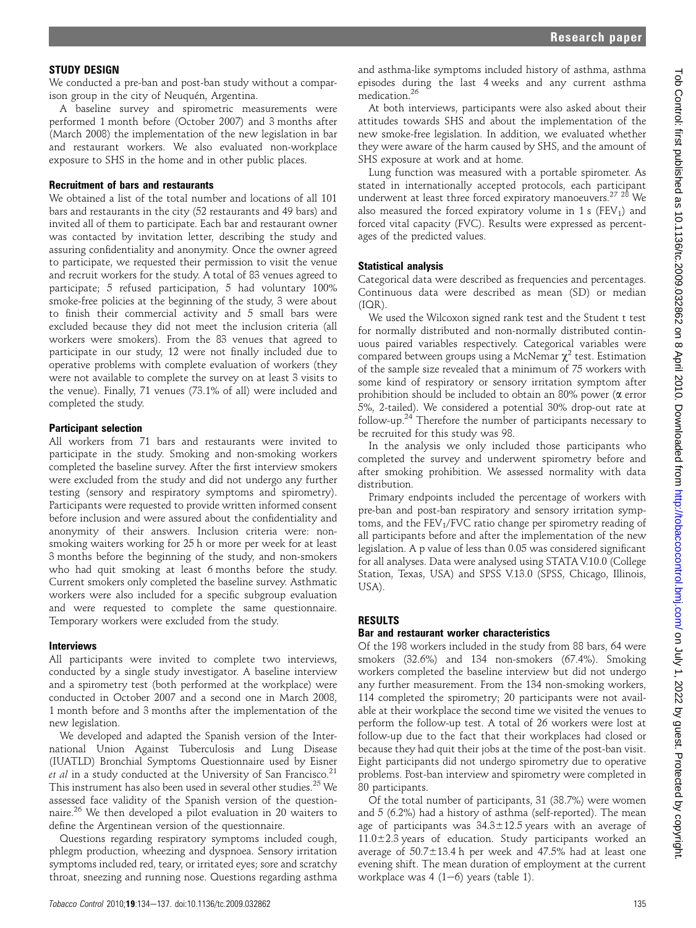# STUDY DESIGN

We conducted a pre-ban and post-ban study without a comparison group in the city of Neuquén, Argentina.

A baseline survey and spirometric measurements were performed 1 month before (October 2007) and 3 months after (March 2008) the implementation of the new legislation in bar and restaurant workers. We also evaluated non-workplace exposure to SHS in the home and in other public places.

#### Recruitment of bars and restaurants

We obtained a list of the total number and locations of all 101 bars and restaurants in the city (52 restaurants and 49 bars) and invited all of them to participate. Each bar and restaurant owner was contacted by invitation letter, describing the study and assuring confidentiality and anonymity. Once the owner agreed to participate, we requested their permission to visit the venue and recruit workers for the study. A total of 83 venues agreed to participate; 5 refused participation, 5 had voluntary 100% smoke-free policies at the beginning of the study, 3 were about to finish their commercial activity and 5 small bars were excluded because they did not meet the inclusion criteria (all workers were smokers). From the 83 venues that agreed to participate in our study, 12 were not finally included due to operative problems with complete evaluation of workers (they were not available to complete the survey on at least 3 visits to the venue). Finally, 71 venues (73.1% of all) were included and completed the study.

# Participant selection

All workers from 71 bars and restaurants were invited to participate in the study. Smoking and non-smoking workers completed the baseline survey. After the first interview smokers were excluded from the study and did not undergo any further testing (sensory and respiratory symptoms and spirometry). Participants were requested to provide written informed consent before inclusion and were assured about the confidentiality and anonymity of their answers. Inclusion criteria were: nonsmoking waiters working for 25 h or more per week for at least 3 months before the beginning of the study, and non-smokers who had quit smoking at least 6 months before the study. Current smokers only completed the baseline survey. Asthmatic workers were also included for a specific subgroup evaluation and were requested to complete the same questionnaire. Temporary workers were excluded from the study.

# **Interviews**

All participants were invited to complete two interviews, conducted by a single study investigator. A baseline interview and a spirometry test (both performed at the workplace) were conducted in October 2007 and a second one in March 2008, 1 month before and 3 months after the implementation of the new legislation.

We developed and adapted the Spanish version of the International Union Against Tuberculosis and Lung Disease (IUATLD) Bronchial Symptoms Questionnaire used by Eisner *et al* in a study conducted at the University of San Francisco.<sup>21</sup> This instrument has also been used in several other studies.<sup>25</sup> We assessed face validity of the Spanish version of the questionnaire.<sup>26</sup> We then developed a pilot evaluation in 20 waiters to define the Argentinean version of the questionnaire.

Questions regarding respiratory symptoms included cough, phlegm production, wheezing and dyspnoea. Sensory irritation symptoms included red, teary, or irritated eyes; sore and scratchy throat, sneezing and running nose. Questions regarding asthma and asthma-like symptoms included history of asthma, asthma episodes during the last 4 weeks and any current asthma medication.<sup>26</sup>

At both interviews, participants were also asked about their attitudes towards SHS and about the implementation of the new smoke-free legislation. In addition, we evaluated whether they were aware of the harm caused by SHS, and the amount of SHS exposure at work and at home.

Lung function was measured with a portable spirometer. As stated in internationally accepted protocols, each participant underwent at least three forced expiratory manoeuvers.<sup>27</sup> <sup>28</sup> We also measured the forced expiratory volume in 1 s (FEV<sub>1</sub>) and forced vital capacity (FVC). Results were expressed as percentages of the predicted values.

# Statistical analysis

Categorical data were described as frequencies and percentages. Continuous data were described as mean (SD) or median (IQR).

We used the Wilcoxon signed rank test and the Student t test for normally distributed and non-normally distributed continuous paired variables respectively. Categorical variables were compared between groups using a McNemar  $\chi^2$  test. Estimation of the sample size revealed that a minimum of 75 workers with some kind of respiratory or sensory irritation symptom after prohibition should be included to obtain an 80% power ( $\alpha$  error 5%, 2-tailed). We considered a potential 30% drop-out rate at follow-up.24 Therefore the number of participants necessary to be recruited for this study was 98.

In the analysis we only included those participants who completed the survey and underwent spirometry before and after smoking prohibition. We assessed normality with data distribution.

Primary endpoints included the percentage of workers with pre-ban and post-ban respiratory and sensory irritation symptoms, and the  $FEV<sub>1</sub>/FVC$  ratio change per spirometry reading of all participants before and after the implementation of the new legislation. A p value of less than 0.05 was considered significant for all analyses. Data were analysed using STATA V.10.0 (College Station, Texas, USA) and SPSS V.13.0 (SPSS, Chicago, Illinois, USA).

# RESULTS

# Bar and restaurant worker characteristics

Of the 198 workers included in the study from 88 bars, 64 were smokers (32.6%) and 134 non-smokers (67.4%). Smoking workers completed the baseline interview but did not undergo any further measurement. From the 134 non-smoking workers, 114 completed the spirometry; 20 participants were not available at their workplace the second time we visited the venues to perform the follow-up test. A total of 26 workers were lost at follow-up due to the fact that their workplaces had closed or because they had quit their jobs at the time of the post-ban visit. Eight participants did not undergo spirometry due to operative problems. Post-ban interview and spirometry were completed in 80 participants.

Of the total number of participants, 31 (38.7%) were women and 5 (6.2%) had a history of asthma (self-reported). The mean age of participants was  $34.3 \pm 12.5$  years with an average of  $11.0\pm2.3$  years of education. Study participants worked an average of  $50.7\pm13.4$  h per week and 47.5% had at least one evening shift. The mean duration of employment at the current workplace was 4  $(1-6)$  years (table 1).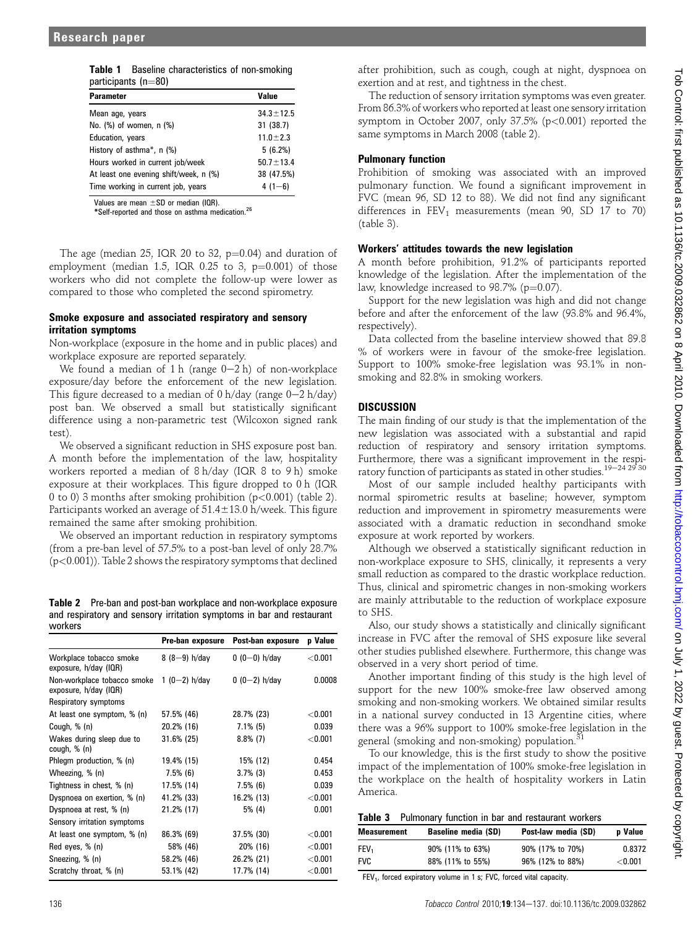| participants (n=80)                    |                 |  |  |  |
|----------------------------------------|-----------------|--|--|--|
| <b>Parameter</b>                       | Value           |  |  |  |
| Mean age, years                        | $34.3 \pm 12.5$ |  |  |  |
| No. (%) of women, n (%)                | 31(38.7)        |  |  |  |
| Education, years                       | $11.0 \pm 2.3$  |  |  |  |
| History of asthma*, n (%)              | 5(6.2%)         |  |  |  |
| Hours worked in current job/week       | $50.7 \pm 13.4$ |  |  |  |
| At least one evening shift/week, n (%) | 38 (47.5%)      |  |  |  |
| Time working in current job, years     | $4(1-6)$        |  |  |  |

Table 1 Baseline characteristics of non-smoking

Values are mean  $+$ SD or median (IQR).

\*Self-reported and those on asthma medication.<sup>26</sup>

The age (median 25, IQR 20 to 32,  $p=0.04$ ) and duration of employment (median 1.5, IQR  $0.25$  to 3,  $p=0.001$ ) of those workers who did not complete the follow-up were lower as compared to those who completed the second spirometry.

# Smoke exposure and associated respiratory and sensory irritation symptoms

Non-workplace (exposure in the home and in public places) and workplace exposure are reported separately.

We found a median of 1 h (range  $0-2$  h) of non-workplace exposure/day before the enforcement of the new legislation. This figure decreased to a median of  $0$  h/day (range  $0-2$  h/day) post ban. We observed a small but statistically significant difference using a non-parametric test (Wilcoxon signed rank test).

We observed a significant reduction in SHS exposure post ban. A month before the implementation of the law, hospitality workers reported a median of 8 h/day (IQR 8 to 9 h) smoke exposure at their workplaces. This figure dropped to 0 h (IQR 0 to 0) 3 months after smoking prohibition (p<0.001) (table 2). Participants worked an average of  $51.4\pm13.0$  h/week. This figure remained the same after smoking prohibition.

We observed an important reduction in respiratory symptoms (from a pre-ban level of 57.5% to a post-ban level of only 28.7% (p<0.001)). Table 2 shows the respiratory symptoms that declined

Table 2 Pre-ban and post-ban workplace and non-workplace exposure and respiratory and sensory irritation symptoms in bar and restaurant workers

|                                                      | Pre-ban exposure | Post-ban exposure | p Value   |
|------------------------------------------------------|------------------|-------------------|-----------|
| Workplace tobacco smoke<br>exposure, h/day (IQR)     | $8(8-9)$ h/day   | $0(0-0)$ h/day    | < 0.001   |
| Non-workplace tobacco smoke<br>exposure, h/day (IQR) | 1 (0-2) $h$ /day | $0(0-2)$ h/day    | 0.0008    |
| Respiratory symptoms                                 |                  |                   |           |
| At least one symptom, % (n)                          | 57.5% (46)       | 28.7% (23)        | $<$ 0.001 |
| Cough, % (n)                                         | 20.2% (16)       | $7.1\%$ (5)       | 0.039     |
| Wakes during sleep due to<br>cough, % (n)            | 31.6% (25)       | $8.8\%$ (7)       | < 0.001   |
| Phlegm production, % (n)                             | 19.4% (15)       | 15% (12)          | 0.454     |
| Wheezing, % (n)                                      | $7.5\%$ (6)      | $3.7\%$ (3)       | 0.453     |
| Tightness in chest, % (n)                            | 17.5% (14)       | $7.5\%$ (6)       | 0.039     |
| Dyspnoea on exertion, % (n)                          | 41.2% (33)       | 16.2% (13)        | < 0.001   |
| Dyspnoea at rest, % (n)                              | 21.2% (17)       | 5% (4)            | 0.001     |
| Sensory irritation symptoms                          |                  |                   |           |
| At least one symptom, % (n)                          | 86.3% (69)       | 37.5% (30)        | < 0.001   |
| Red eyes, % (n)                                      | 58% (46)         | 20% (16)          | < 0.001   |
| Sneezing, % (n)                                      | 58.2% (46)       | 26.2% (21)        | < 0.001   |
| Scratchy throat, % (n)                               | 53.1% (42)       | 17.7% (14)        | < 0.001   |

after prohibition, such as cough, cough at night, dyspnoea on exertion and at rest, and tightness in the chest.

The reduction of sensory irritation symptoms was even greater. From 86.3% of workers who reported at least one sensory irritation symptom in October 2007, only 37.5% (p<0.001) reported the same symptoms in March 2008 (table 2).

# Pulmonary function

Prohibition of smoking was associated with an improved pulmonary function. We found a significant improvement in FVC (mean 96, SD 12 to 88). We did not find any significant differences in  $FEV_1$  measurements (mean 90, SD 17 to 70) (table 3).

# Workers' attitudes towards the new legislation

A month before prohibition, 91.2% of participants reported knowledge of the legislation. After the implementation of the law, knowledge increased to  $98.7\%$  (p=0.07).

Support for the new legislation was high and did not change before and after the enforcement of the law (93.8% and 96.4%, respectively).

Data collected from the baseline interview showed that 89.8 % of workers were in favour of the smoke-free legislation. Support to 100% smoke-free legislation was 93.1% in nonsmoking and 82.8% in smoking workers.

# **DISCUSSION**

The main finding of our study is that the implementation of the new legislation was associated with a substantial and rapid reduction of respiratory and sensory irritation symptoms. Furthermore, there was a significant improvement in the respiratory function of participants as stated in other studies.<sup>19-24 29</sup> <sup>30</sup>

Most of our sample included healthy participants with normal spirometric results at baseline; however, symptom reduction and improvement in spirometry measurements were associated with a dramatic reduction in secondhand smoke exposure at work reported by workers.

Although we observed a statistically significant reduction in non-workplace exposure to SHS, clinically, it represents a very small reduction as compared to the drastic workplace reduction. Thus, clinical and spirometric changes in non-smoking workers are mainly attributable to the reduction of workplace exposure to SHS.

Also, our study shows a statistically and clinically significant increase in FVC after the removal of SHS exposure like several other studies published elsewhere. Furthermore, this change was observed in a very short period of time.

Another important finding of this study is the high level of support for the new 100% smoke-free law observed among smoking and non-smoking workers. We obtained similar results in a national survey conducted in 13 Argentine cities, where there was a 96% support to 100% smoke-free legislation in the general (smoking and non-smoking) population.<sup>3</sup>

To our knowledge, this is the first study to show the positive impact of the implementation of 100% smoke-free legislation in the workplace on the health of hospitality workers in Latin America.

|  |  |  |  |  |  | Table 3 Pulmonary function in bar and restaurant workers |  |
|--|--|--|--|--|--|----------------------------------------------------------|--|
|--|--|--|--|--|--|----------------------------------------------------------|--|

| Measurement | <b>Baseline media (SD)</b> | Post-law media (SD) | <b>p</b> Value |
|-------------|----------------------------|---------------------|----------------|
| FEV,        | 90% (11% to 63%)           | 90% (17% to 70%)    | 0.8372         |
| <b>FVC</b>  | 88% (11% to 55%)           | 96% (12% to 88%)    | $<$ 0.001 $\,$ |

FEV<sub>1</sub>, forced expiratory volume in 1 s; FVC, forced vital capacity.